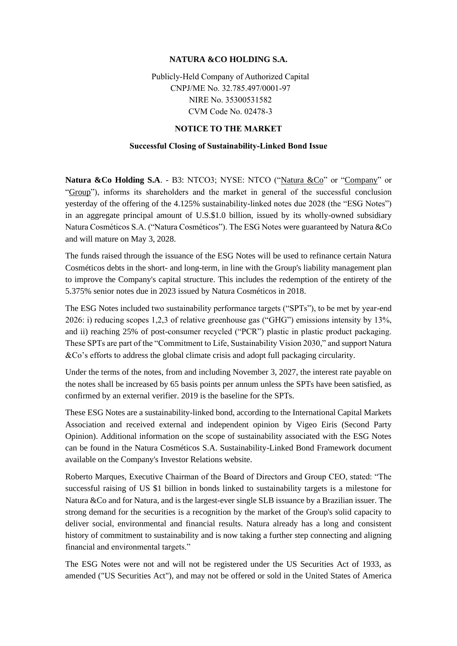## **NATURA &CO HOLDING S.A.**

Publicly-Held Company of Authorized Capital CNPJ/ME No. 32.785.497/0001-97 NIRE No. 35300531582 CVM Code No. 02478-3

## **NOTICE TO THE MARKET**

## **Successful Closing of Sustainability-Linked Bond Issue**

Natura &Co Holding S.A. - B3: NTCO3; NYSE: NTCO ("Natura &Co" or "Company" or "Group"), informs its shareholders and the market in general of the successful conclusion yesterday of the offering of the 4.125% sustainability-linked notes due 2028 (the "ESG Notes") in an aggregate principal amount of U.S.\$1.0 billion, issued by its wholly-owned subsidiary Natura Cosméticos S.A. ("Natura Cosméticos"). The ESG Notes were guaranteed by Natura &Co and will mature on May 3, 2028.

The funds raised through the issuance of the ESG Notes will be used to refinance certain Natura Cosméticos debts in the short- and long-term, in line with the Group's liability management plan to improve the Company's capital structure. This includes the redemption of the entirety of the 5.375% senior notes due in 2023 issued by Natura Cosméticos in 2018.

The ESG Notes included two sustainability performance targets ("SPTs"), to be met by year-end 2026: i) reducing scopes 1,2,3 of relative greenhouse gas ("GHG") emissions intensity by 13%, and ii) reaching 25% of post-consumer recycled ("PCR") plastic in plastic product packaging. These SPTs are part of the "Commitment to Life, Sustainability Vision 2030," and support Natura &Co's efforts to address the global climate crisis and adopt full packaging circularity.

Under the terms of the notes, from and including November 3, 2027, the interest rate payable on the notes shall be increased by 65 basis points per annum unless the SPTs have been satisfied, as confirmed by an external verifier. 2019 is the baseline for the SPTs.

These ESG Notes are a sustainability-linked bond, according to the International Capital Markets Association and received external and independent opinion by Vigeo Eiris (Second Party Opinion). Additional information on the scope of sustainability associated with the ESG Notes can be found in the Natura Cosméticos S.A. Sustainability-Linked Bond Framework document available on the Company's Investor Relations website.

Roberto Marques, Executive Chairman of the Board of Directors and Group CEO, stated: "The successful raising of US \$1 billion in bonds linked to sustainability targets is a milestone for Natura &Co and for Natura, and is the largest-ever single SLB issuance by a Brazilian issuer. The strong demand for the securities is a recognition by the market of the Group's solid capacity to deliver social, environmental and financial results. Natura already has a long and consistent history of commitment to sustainability and is now taking a further step connecting and aligning financial and environmental targets."

The ESG Notes were not and will not be registered under the US Securities Act of 1933, as amended ("US Securities Act"), and may not be offered or sold in the United States of America